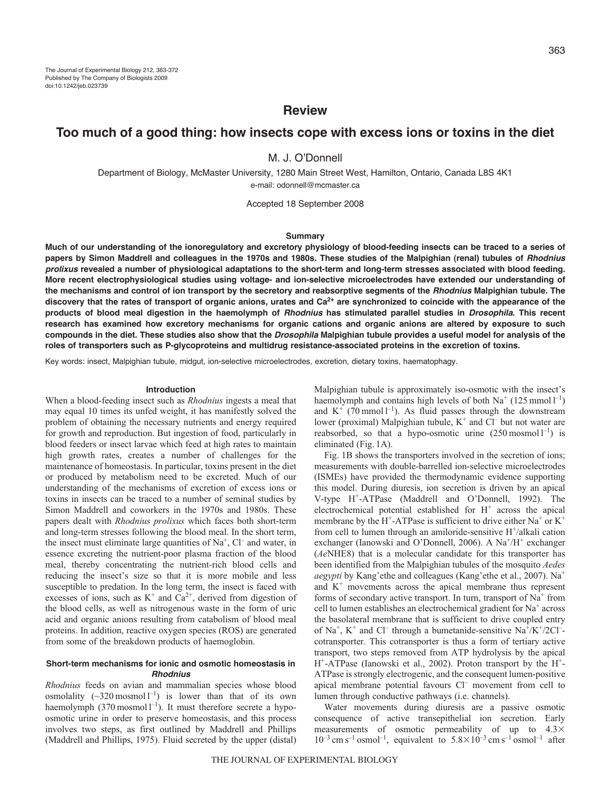# **Review**

# **Too much of a good thing: how insects cope with excess ions or toxins in the diet**

M. J. O'Donnell

Department of Biology, McMaster University, 1280 Main Street West, Hamilton, Ontario, Canada L8S 4K1 e-mail: odonnell@mcmaster.ca

Accepted 18 September 2008

#### **Summary**

**Much of our understanding of the ionoregulatory and excretory physiology of blood-feeding insects can be traced to a series of** papers by Simon Maddrell and colleagues in the 1970s and 1980s. These studies of the Malpighian (renal) tubules of *Rhodnius prolixus* **revealed a number of physiological adaptations to the short-term and long-term stresses associated with blood feeding. More recent electrophysiological studies using voltage- and ion-selective microelectrodes have extended our understanding of the mechanisms and control of ion transport by the secretory and reabsorptive segments of the** *Rhodnius* **Malpighian tubule. The discovery that the rates of transport of organic anions, urates and Ca2+ are synchronized to coincide with the appearance of the products of blood meal digestion in the haemolymph of** *Rhodnius* **has stimulated parallel studies in** *Drosophila***. This recent research has examined how excretory mechanisms for organic cations and organic anions are altered by exposure to such compounds in the diet. These studies also show that the** *Drosophila* **Malpighian tubule provides a useful model for analysis of the roles of transporters such as P-glycoproteins and multidrug resistance-associated proteins in the excretion of toxins.**

Key words: insect, Malpighian tubule, midgut, ion-selective microelectrodes, excretion, dietary toxins, haematophagy.

#### **Introduction**

When a blood-feeding insect such as *Rhodnius* ingests a meal that may equal 10 times its unfed weight, it has manifestly solved the problem of obtaining the necessary nutrients and energy required for growth and reproduction. But ingestion of food, particularly in blood feeders or insect larvae which feed at high rates to maintain high growth rates, creates a number of challenges for the maintenance of homeostasis. In particular, toxins present in the diet or produced by metabolism need to be excreted. Much of our understanding of the mechanisms of excretion of excess ions or toxins in insects can be traced to a number of seminal studies by Simon Maddrell and coworkers in the 1970s and 1980s. These papers dealt with *Rhodnius prolixus* which faces both short-term and long-term stresses following the blood meal. In the short term, the insect must eliminate large quantities of  $Na<sup>+</sup>$ , Cl<sup>-</sup> and water, in essence excreting the nutrient-poor plasma fraction of the blood meal, thereby concentrating the nutrient-rich blood cells and reducing the insect's size so that it is more mobile and less susceptible to predation. In the long term, the insect is faced with excesses of ions, such as  $K^+$  and  $Ca^{2+}$ , derived from digestion of the blood cells, as well as nitrogenous waste in the form of uric acid and organic anions resulting from catabolism of blood meal proteins. In addition, reactive oxygen species (ROS) are generated from some of the breakdown products of haemoglobin.

## **Short-term mechanisms for ionic and osmotic homeostasis in** *Rhodnius*

*Rhodnius* feeds on avian and mammalian species whose blood osmolality  $(\sim]320 \text{ moshol } l^{-1}$  is lower than that of its own haemolymph (370 mosmol  $l^{-1}$ ). It must therefore secrete a hypoosmotic urine in order to preserve homeostasis, and this process involves two steps, as first outlined by Maddrell and Phillips (Maddrell and Phillips, 1975). Fluid secreted by the upper (distal)

Malpighian tubule is approximately iso-osmotic with the insect's haemolymph and contains high levels of both  $Na^+(125 \text{ mmol } l^{-1})$ and  $K^+$  (70 mmol  $1^{-1}$ ). As fluid passes through the downstream lower (proximal) Malpighian tubule,  $K^+$  and  $Cl^-$  but not water are reabsorbed, so that a hypo-osmotic urine  $(250 \text{ moshol } l^{-1})$  is eliminated (Fig. 1A).

Fig. 1B shows the transporters involved in the secretion of ions; measurements with double-barrelled ion-selective microelectrodes (ISMEs) have provided the thermodynamic evidence supporting this model. During diuresis, ion secretion is driven by an apical V-type H+-ATPase (Maddrell and O'Donnell, 1992). The electrochemical potential established for  $H^+$  across the apical membrane by the H<sup>+</sup>-ATPase is sufficient to drive either  $Na<sup>+</sup>$  or  $K<sup>+</sup>$ from cell to lumen through an amiloride-sensitive  $H^{\dagger}/a$ lkali cation exchanger (Ianowski and O'Donnell, 2006). A Na<sup>+</sup>/H<sup>+</sup> exchanger (*Ae*NHE8) that is a molecular candidate for this transporter has been identified from the Malpighian tubules of the mosquito *Aedes aegypti* by Kang'ethe and colleagues (Kang'ethe et al., 2007). Na<sup>+</sup> and  $K^+$  movements across the apical membrane thus represent forms of secondary active transport. In turn, transport of  $Na<sup>+</sup>$  from cell to lumen establishes an electrochemical gradient for Na+ across the basolateral membrane that is sufficient to drive coupled entry of Na<sup>+</sup>, K<sup>+</sup> and Cl<sup>-</sup> through a bumetanide-sensitive Na<sup>+</sup>/K<sup>+</sup>/2Cl<sup>-</sup>cotransporter. This cotransporter is thus a form of tertiary active transport, two steps removed from ATP hydrolysis by the apical  $H^+$ -ATPase (Ianowski et al., 2002). Proton transport by the  $H^+$ -ATPase is strongly electrogenic, and the consequent lumen-positive apical membrane potential favours Cl<sup>-</sup> movement from cell to lumen through conductive pathways (i.e. channels).

Water movements during diuresis are a passive osmotic consequence of active transepithelial ion secretion. Early measurements of osmotic permeability of up to  $4.3\times$  $10^{-3}$  cm s<sup>-1</sup> osmol<sup>-1</sup>, equivalent to  $5.8 \times 10^{-3}$  cm s<sup>-1</sup> osmol<sup>-1</sup> after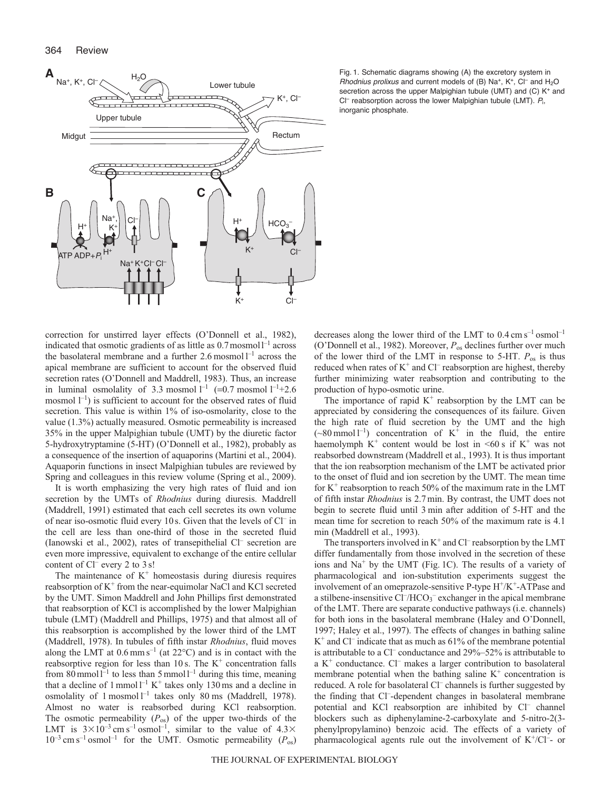

correction for unstirred layer effects (O'Donnell et al., 1982), indicated that osmotic gradients of as little as  $0.7$  mosmol $1<sup>-1</sup>$  across the basolateral membrane and a further 2.6 mosmol  $l^{-1}$  across the apical membrane are sufficient to account for the observed fluid secretion rates (O'Donnell and Maddrell, 1983). Thus, an increase in luminal osmolality of 3.3 mosmol  $l^{-1}$  (=0.7 mosmol  $l^{-1}$ +2.6 mosmol  $\mathfrak{l}^{-1}$ ) is sufficient to account for the observed rates of fluid secretion. This value is within 1% of iso-osmolarity, close to the value (1.3%) actually measured. Osmotic permeability is increased 35% in the upper Malpighian tubule (UMT) by the diuretic factor 5-hydroxytryptamine (5-HT) (O'Donnell et al., 1982), probably as a consequence of the insertion of aquaporins (Martini et al., 2004). Aquaporin functions in insect Malpighian tubules are reviewed by Spring and colleagues in this review volume (Spring et al., 2009).

It is worth emphasizing the very high rates of fluid and ion secretion by the UMTs of *Rhodnius* during diuresis. Maddrell (Maddrell, 1991) estimated that each cell secretes its own volume of near iso-osmotic fluid every 10 s. Given that the levels of Cl– in the cell are less than one-third of those in the secreted fluid (Ianowski et al., 2002), rates of transepithelial Cl– secretion are even more impressive, equivalent to exchange of the entire cellular content of Cl– every 2 to 3 s!

The maintenance of  $K^+$  homeostasis during diuresis requires reabsorption of  $K^+$  from the near-equimolar NaCl and KCl secreted by the UMT. Simon Maddrell and John Phillips first demonstrated that reabsorption of KCl is accomplished by the lower Malpighian tubule (LMT) (Maddrell and Phillips, 1975) and that almost all of this reabsorption is accomplished by the lower third of the LMT (Maddrell, 1978). In tubules of fifth instar *Rhodnius*, fluid moves along the LMT at  $0.6$  mm s<sup>-1</sup> (at  $22^{\circ}$ C) and is in contact with the reabsorptive region for less than 10 s. The  $K^+$  concentration falls from 80 mmol  $l^{-1}$  to less than 5 mmol  $l^{-1}$  during this time, meaning that a decline of  $1$  mmol  $l^{-1}$  K<sup>+</sup> takes only 130 ms and a decline in osmolality of 1 mosmol  $l^{-1}$  takes only 80 ms (Maddrell, 1978). Almost no water is reabsorbed during KCl reabsorption. The osmotic permeability  $(P_{os})$  of the upper two-thirds of the LMT is  $3 \times 10^{-3}$  cm s<sup>-1</sup> osmol<sup>-1</sup>, similar to the value of  $4.3 \times$  $10^{-3}$  cm s<sup>-1</sup> osmol<sup>-1</sup> for the UMT. Osmotic permeability ( $P_{\text{os}}$ )

Fig. 1. Schematic diagrams showing (A) the excretory system in Rhodnius prolixus and current models of (B) Na<sup>+</sup>, K<sup>+</sup>, Cl<sup>-</sup> and H<sub>2</sub>O secretion across the upper Malpighian tubule (UMT) and (C) K<sup>+</sup> and  $Cl^-$  reabsorption across the lower Malpighian tubule (LMT).  $P_i$ , inorganic phosphate.

decreases along the lower third of the LMT to  $0.4 \text{ cm s}^{-1} \text{ osmol}^{-1}$ (O'Donnell et al., 1982). Moreover, *P*os declines further over much of the lower third of the LMT in response to 5-HT. *P*os is thus reduced when rates of  $K^+$  and  $Cl^-$  reabsorption are highest, thereby further minimizing water reabsorption and contributing to the production of hypo-osmotic urine.

The importance of rapid  $K^+$  reabsorption by the LMT can be appreciated by considering the consequences of its failure. Given the high rate of fluid secretion by the UMT and the high  $({\sim}80 \text{ mmol } 1^{-1})$  concentration of K<sup>+</sup> in the fluid, the entire haemolymph  $K^+$  content would be lost in  $\leq 60$  s if  $K^+$  was not reabsorbed downstream (Maddrell et al., 1993). It is thus important that the ion reabsorption mechanism of the LMT be activated prior to the onset of fluid and ion secretion by the UMT. The mean time for  $K^+$  reabsorption to reach 50% of the maximum rate in the LMT of fifth instar *Rhodnius* is 2.7 min. By contrast, the UMT does not begin to secrete fluid until 3 min after addition of 5-HT and the mean time for secretion to reach 50% of the maximum rate is 4.1 min (Maddrell et al., 1993).

The transporters involved in  $K^+$  and Cl<sup>–</sup> reabsorption by the LMT differ fundamentally from those involved in the secretion of these ions and  $Na<sup>+</sup>$  by the UMT (Fig. 1C). The results of a variety of pharmacological and ion-substitution experiments suggest the involvement of an omeprazole-sensitive P-type  $H^+/K^+$ -ATPase and a stilbene-insensitive  $Cl^-/HCO_3^-$  exchanger in the apical membrane of the LMT. There are separate conductive pathways (i.e. channels) for both ions in the basolateral membrane (Haley and O'Donnell, 1997; Haley et al., 1997). The effects of changes in bathing saline  $K^+$  and Cl<sup>-</sup> indicate that as much as 61% of the membrane potential is attributable to a  $CI^-$  conductance and  $29\% - 52\%$  is attributable to a  $K^+$  conductance.  $Cl^-$  makes a larger contribution to basolateral membrane potential when the bathing saline  $K^+$  concentration is reduced. A role for basolateral Cl<sup>-</sup> channels is further suggested by the finding that Cl– -dependent changes in basolateral membrane potential and KCl reabsorption are inhibited by Cl– channel blockers such as diphenylamine-2-carboxylate and 5-nitro-2(3 phenylpropylamino) benzoic acid. The effects of a variety of pharmacological agents rule out the involvement of  $K^+/Cl^-$ - or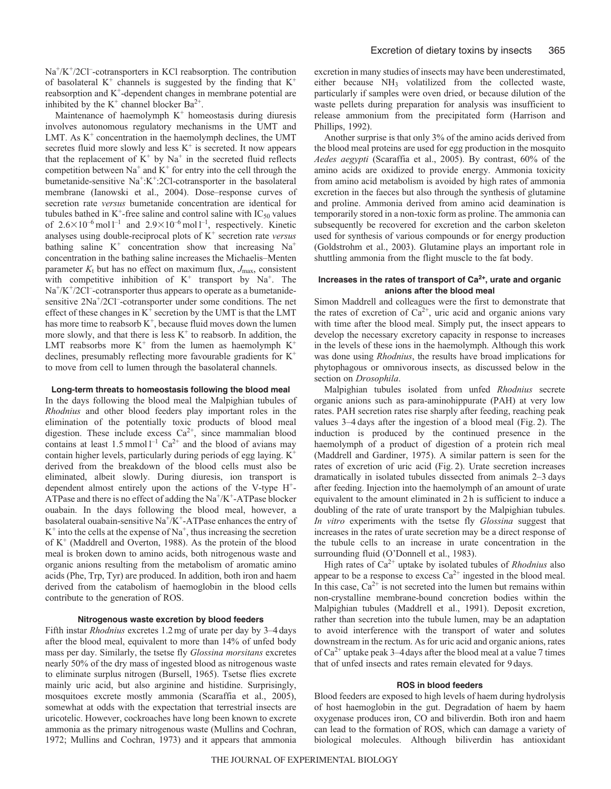Na<sup>+</sup>/K<sup>+</sup>/2Cl<sup>-</sup>-cotransporters in KCl reabsorption. The contribution of basolateral  $K^+$  channels is suggested by the finding that  $K^+$ reabsorption and K<sup>+</sup>-dependent changes in membrane potential are inhibited by the  $K^+$  channel blocker Ba<sup>2+</sup>.

Maintenance of haemolymph  $K^+$  homeostasis during diuresis involves autonomous regulatory mechanisms in the UMT and LMT. As  $K^+$  concentration in the haemolymph declines, the UMT secretes fluid more slowly and less  $K^+$  is secreted. It now appears that the replacement of  $K^+$  by  $Na^+$  in the secreted fluid reflects competition between  $Na^+$  and  $K^+$  for entry into the cell through the bumetanide-sensitive  $Na^+ : K^+ : 2Cl$ -cotransporter in the basolateral membrane (Ianowski et al., 2004). Dose–response curves of secretion rate *versus* bumetanide concentration are identical for tubules bathed in  $K^+$ -free saline and control saline with  $IC_{50}$  values of  $2.6 \times 10^{-6}$  mol  $1^{-1}$  and  $2.9 \times 10^{-6}$  mol  $1^{-1}$ , respectively. Kinetic analyses using double-reciprocal plots of K+ secretion rate *versus* bathing saline  $K^+$  concentration show that increasing  $Na^+$ concentration in the bathing saline increases the Michaelis–Menten parameter  $K_t$  but has no effect on maximum flux,  $J_{\text{max}}$ , consistent with competitive inhibition of  $K^+$  transport by  $Na^+$ . The  $Na<sup>+</sup>/K<sup>+</sup>/2Cl<sup>-</sup>cotransporter thus appears to operate as a bumetanide$ sensitive 2Na<sup>+</sup>/2Cl<sup>-</sup>-cotransporter under some conditions. The net effect of these changes in  $K^+$  secretion by the UMT is that the LMT has more time to reabsorb  $K^+$ , because fluid moves down the lumen more slowly, and that there is less  $K^+$  to reabsorb. In addition, the LMT reabsorbs more  $K^+$  from the lumen as haemolymph  $K^+$ declines, presumably reflecting more favourable gradients for  $K^+$ to move from cell to lumen through the basolateral channels.

## **Long-term threats to homeostasis following the blood meal**

In the days following the blood meal the Malpighian tubules of *Rhodnius* and other blood feeders play important roles in the elimination of the potentially toxic products of blood meal digestion. These include excess  $Ca^{2+}$ , since mammalian blood contains at least 1.5 mmol  $l^{-1}$  Ca<sup>2+</sup> and the blood of avians may contain higher levels, particularly during periods of egg laying.  $K^+$ derived from the breakdown of the blood cells must also be eliminated, albeit slowly. During diuresis, ion transport is dependent almost entirely upon the actions of the V-type H+- ATPase and there is no effect of adding the  $Na^+/K^+$ -ATPase blocker ouabain. In the days following the blood meal, however, a basolateral ouabain-sensitive  $\text{Na}^+\text{/K}^+$ -ATPase enhances the entry of  $K^+$  into the cells at the expense of Na<sup>+</sup>, thus increasing the secretion of  $K^+$  (Maddrell and Overton, 1988). As the protein of the blood meal is broken down to amino acids, both nitrogenous waste and organic anions resulting from the metabolism of aromatic amino acids (Phe, Trp, Tyr) are produced. In addition, both iron and haem derived from the catabolism of haemoglobin in the blood cells contribute to the generation of ROS.

#### **Nitrogenous waste excretion by blood feeders**

Fifth instar *Rhodnius* excretes 1.2 mg of urate per day by 3–4 days after the blood meal, equivalent to more than 14% of unfed body mass per day. Similarly, the tsetse fly *Glossina morsitans* excretes nearly 50% of the dry mass of ingested blood as nitrogenous waste to eliminate surplus nitrogen (Bursell, 1965). Tsetse flies excrete mainly uric acid, but also arginine and histidine. Surprisingly, mosquitoes excrete mostly ammonia (Scaraffia et al., 2005), somewhat at odds with the expectation that terrestrial insects are uricotelic. However, cockroaches have long been known to excrete ammonia as the primary nitrogenous waste (Mullins and Cochran, 1972; Mullins and Cochran, 1973) and it appears that ammonia excretion in many studies of insects may have been underestimated, either because NH3 volatilized from the collected waste, particularly if samples were oven dried, or because dilution of the waste pellets during preparation for analysis was insufficient to release ammonium from the precipitated form (Harrison and Phillips, 1992).

Another surprise is that only 3% of the amino acids derived from the blood meal proteins are used for egg production in the mosquito *Aedes aegypti* (Scaraffia et al., 2005). By contrast, 60% of the amino acids are oxidized to provide energy. Ammonia toxicity from amino acid metabolism is avoided by high rates of ammonia excretion in the faeces but also through the synthesis of glutamine and proline. Ammonia derived from amino acid deamination is temporarily stored in a non-toxic form as proline. The ammonia can subsequently be recovered for excretion and the carbon skeleton used for synthesis of various compounds or for energy production (Goldstrohm et al., 2003). Glutamine plays an important role in shuttling ammonia from the flight muscle to the fat body.

## **Increases in the rates of transport of Ca2+, urate and organic anions after the blood meal**

Simon Maddrell and colleagues were the first to demonstrate that the rates of excretion of  $Ca^{2+}$ , uric acid and organic anions vary with time after the blood meal. Simply put, the insect appears to develop the necessary excretory capacity in response to increases in the levels of these ions in the haemolymph. Although this work was done using *Rhodnius*, the results have broad implications for phytophagous or omnivorous insects, as discussed below in the section on *Drosophila*.

Malpighian tubules isolated from unfed *Rhodnius* secrete organic anions such as para-aminohippurate (PAH) at very low rates. PAH secretion rates rise sharply after feeding, reaching peak values 3–4 days after the ingestion of a blood meal (Fig. 2). The induction is produced by the continued presence in the haemolymph of a product of digestion of a protein rich meal (Maddrell and Gardiner, 1975). A similar pattern is seen for the rates of excretion of uric acid (Fig. 2). Urate secretion increases dramatically in isolated tubules dissected from animals 2–3 days after feeding. Injection into the haemolymph of an amount of urate equivalent to the amount eliminated in 2 h is sufficient to induce a doubling of the rate of urate transport by the Malpighian tubules. *In vitro* experiments with the tsetse fly *Glossina* suggest that increases in the rates of urate secretion may be a direct response of the tubule cells to an increase in urate concentration in the surrounding fluid (O'Donnell et al., 1983).

High rates of Ca2+ uptake by isolated tubules of *Rhodnius* also appear to be a response to excess  $Ca^{2+}$  ingested in the blood meal. In this case,  $Ca^{2+}$  is not secreted into the lumen but remains within non-crystalline membrane-bound concretion bodies within the Malpighian tubules (Maddrell et al., 1991). Deposit excretion, rather than secretion into the tubule lumen, may be an adaptation to avoid interference with the transport of water and solutes downstream in the rectum. As for uric acid and organic anions, rates of  $Ca^{2+}$  uptake peak 3–4 days after the blood meal at a value 7 times that of unfed insects and rates remain elevated for 9 days.

#### **ROS in blood feeders**

Blood feeders are exposed to high levels of haem during hydrolysis of host haemoglobin in the gut. Degradation of haem by haem oxygenase produces iron, CO and biliverdin. Both iron and haem can lead to the formation of ROS, which can damage a variety of biological molecules. Although biliverdin has antioxidant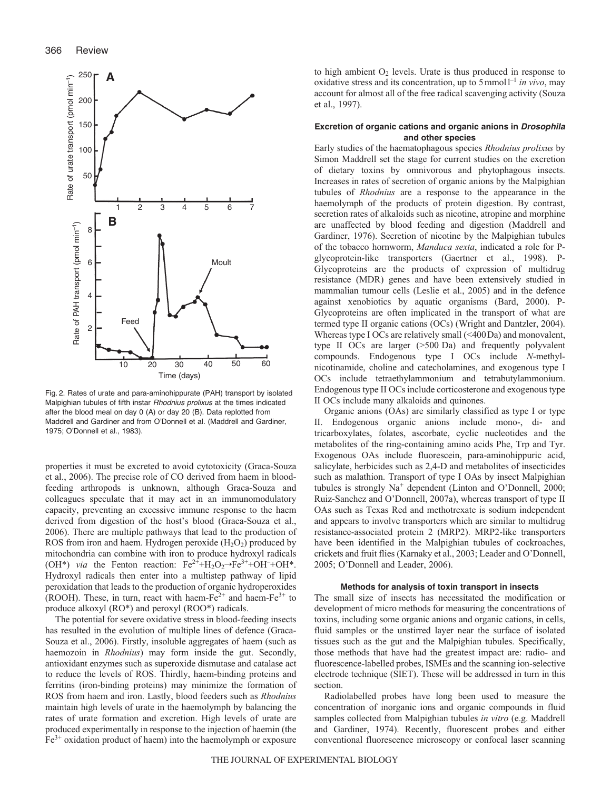

Fig. 2. Rates of urate and para-aminohippurate (PAH) transport by isolated Malpighian tubules of fifth instar Rhodnius prolixus at the times indicated after the blood meal on day 0 (A) or day 20 (B). Data replotted from Maddrell and Gardiner and from O'Donnell et al. (Maddrell and Gardiner, 1975; O'Donnell et al., 1983).

properties it must be excreted to avoid cytotoxicity (Graca-Souza et al., 2006). The precise role of CO derived from haem in bloodfeeding arthropods is unknown, although Graca-Souza and colleagues speculate that it may act in an immunomodulatory capacity, preventing an excessive immune response to the haem derived from digestion of the host's blood (Graca-Souza et al., 2006). There are multiple pathways that lead to the production of ROS from iron and haem. Hydrogen peroxide  $(H_2O_2)$  produced by mitochondria can combine with iron to produce hydroxyl radicals (OH<sup>\*</sup>) *via* the Fenton reaction:  $Fe^{2+} + H_2O_2 \rightarrow Fe^{3+} + OH + OH^*$ . Hydroxyl radicals then enter into a multistep pathway of lipid peroxidation that leads to the production of organic hydroperoxides (ROOH). These, in turn, react with haem-Fe<sup>2+</sup> and haem-Fe<sup>3+</sup> to produce alkoxyl (RO\*) and peroxyl (ROO\*) radicals.

The potential for severe oxidative stress in blood-feeding insects has resulted in the evolution of multiple lines of defence (Graca-Souza et al., 2006). Firstly, insoluble aggregates of haem (such as haemozoin in *Rhodnius*) may form inside the gut. Secondly, antioxidant enzymes such as superoxide dismutase and catalase act to reduce the levels of ROS. Thirdly, haem-binding proteins and ferritins (iron-binding proteins) may minimize the formation of ROS from haem and iron. Lastly, blood feeders such as *Rhodnius* maintain high levels of urate in the haemolymph by balancing the rates of urate formation and excretion. High levels of urate are produced experimentally in response to the injection of haemin (the  $Fe<sup>3+</sup>$  oxidation product of haem) into the haemolymph or exposure

to high ambient  $O_2$  levels. Urate is thus produced in response to oxidative stress and its concentration, up to  $5$  mmol<sup> $1$ –1</sup> *in vivo*, may account for almost all of the free radical scavenging activity (Souza et al., 1997).

## **Excretion of organic cations and organic anions in** *Drosophila* **and other species**

Early studies of the haematophagous species *Rhodnius prolixus* by Simon Maddrell set the stage for current studies on the excretion of dietary toxins by omnivorous and phytophagous insects. Increases in rates of secretion of organic anions by the Malpighian tubules of *Rhodnius* are a response to the appearance in the haemolymph of the products of protein digestion. By contrast, secretion rates of alkaloids such as nicotine, atropine and morphine are unaffected by blood feeding and digestion (Maddrell and Gardiner, 1976). Secretion of nicotine by the Malpighian tubules of the tobacco hornworm, *Manduca sexta*, indicated a role for Pglycoprotein-like transporters (Gaertner et al., 1998). P-Glycoproteins are the products of expression of multidrug resistance (MDR) genes and have been extensively studied in mammalian tumour cells (Leslie et al., 2005) and in the defence against xenobiotics by aquatic organisms (Bard, 2000). P-Glycoproteins are often implicated in the transport of what are termed type II organic cations (OCs) (Wright and Dantzler, 2004). Whereas type I OCs are relatively small (<400Da) and monovalent, type II OCs are larger (>500 Da) and frequently polyvalent compounds. Endogenous type I OCs include *N*-methylnicotinamide, choline and catecholamines, and exogenous type I OCs include tetraethylammonium and tetrabutylammonium. Endogenous type II OCs include corticosterone and exogenous type II OCs include many alkaloids and quinones.

Organic anions (OAs) are similarly classified as type I or type II. Endogenous organic anions include mono-, di- and tricarboxylates, folates, ascorbate, cyclic nucleotides and the metabolites of the ring-containing amino acids Phe, Trp and Tyr. Exogenous OAs include fluorescein, para-aminohippuric acid, salicylate, herbicides such as 2,4-D and metabolites of insecticides such as malathion. Transport of type I OAs by insect Malpighian tubules is strongly Na<sup>+</sup> dependent (Linton and O'Donnell, 2000; Ruiz-Sanchez and O'Donnell, 2007a), whereas transport of type II OAs such as Texas Red and methotrexate is sodium independent and appears to involve transporters which are similar to multidrug resistance-associated protein 2 (MRP2). MRP2-like transporters have been identified in the Malpighian tubules of cockroaches, crickets and fruit flies (Karnaky et al., 2003; Leader and O'Donnell, 2005; O'Donnell and Leader, 2006).

## **Methods for analysis of toxin transport in insects**

The small size of insects has necessitated the modification or development of micro methods for measuring the concentrations of toxins, including some organic anions and organic cations, in cells, fluid samples or the unstirred layer near the surface of isolated tissues such as the gut and the Malpighian tubules. Specifically, those methods that have had the greatest impact are: radio- and fluorescence-labelled probes, ISMEs and the scanning ion-selective electrode technique (SIET). These will be addressed in turn in this section.

Radiolabelled probes have long been used to measure the concentration of inorganic ions and organic compounds in fluid samples collected from Malpighian tubules *in vitro* (e.g. Maddrell and Gardiner, 1974). Recently, fluorescent probes and either conventional fluorescence microscopy or confocal laser scanning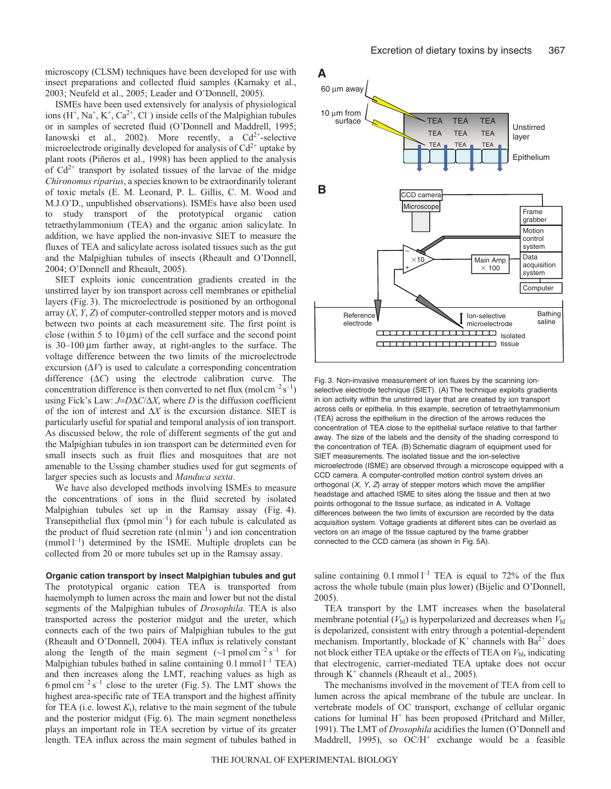microscopy (CLSM) techniques have been developed for use with insect preparations and collected fluid samples (Karnaky et al., 2003; Neufeld et al., 2005; Leader and O'Donnell, 2005).

ISMEs have been used extensively for analysis of physiological ions  $(H^+, Na^+, K^+, Ca^{2+}, Cl^-)$  inside cells of the Malpighian tubules or in samples of secreted fluid (O'Donnell and Maddrell, 1995; Ianowski et al., 2002). More recently, a  $Cd^{2+}$ -selective microelectrode originally developed for analysis of  $Cd^{2+}$  uptake by plant roots (Piñeros et al., 1998) has been applied to the analysis of  $Cd^{2+}$  transport by isolated tissues of the larvae of the midge *Chironomus riparius*, a species known to be extraordinarily tolerant of toxic metals (E. M. Leonard, P. L. Gillis, C. M. Wood and M.J.O'D., unpublished observations). ISMEs have also been used to study transport of the prototypical organic cation tetraethylammonium (TEA) and the organic anion salicylate. In addition, we have applied the non-invasive SIET to measure the fluxes of TEA and salicylate across isolated tissues such as the gut and the Malpighian tubules of insects (Rheault and O'Donnell, 2004; O'Donnell and Rheault, 2005).

SIET exploits ionic concentration gradients created in the unstirred layer by ion transport across cell membranes or epithelial layers (Fig. 3). The microelectrode is positioned by an orthogonal array (*X*, *Y*, *Z*) of computer-controlled stepper motors and is moved between two points at each measurement site. The first point is close (within 5 to  $10 \mu m$ ) of the cell surface and the second point is 30–100 μm farther away, at right-angles to the surface. The voltage difference between the two limits of the microelectrode excursion  $(\Delta V)$  is used to calculate a corresponding concentration difference (Δ*C*) using the electrode calibration curve. The concentration difference is then converted to net flux (molcm<sup>-2</sup> s<sup>-1</sup>) using Fick's Law: *J*=*D*Δ*C*/Δ*X*, where *D* is the diffusion coefficient of the ion of interest and Δ*X* is the excursion distance. SIET is particularly useful for spatial and temporal analysis of ion transport. As discussed below, the role of different segments of the gut and the Malpighian tubules in ion transport can be determined even for small insects such as fruit flies and mosquitoes that are not amenable to the Ussing chamber studies used for gut segments of larger species such as locusts and *Manduca sexta*.

We have also developed methods involving ISMEs to measure the concentrations of ions in the fluid secreted by isolated Malpighian tubules set up in the Ramsay assay (Fig. 4). Transepithelial flux ( $pmol$  min<sup>-1</sup>) for each tubule is calculated as the product of fluid secretion rate  $(nl \min^{-1})$  and ion concentration  $(mmol<sup>-1</sup>)$  determined by the ISME. Multiple droplets can be collected from 20 or more tubules set up in the Ramsay assay.

**Organic cation transport by insect Malpighian tubules and gut** The prototypical organic cation TEA is transported from haemolymph to lumen across the main and lower but not the distal segments of the Malpighian tubules of *Drosophila*. TEA is also transported across the posterior midgut and the ureter, which connects each of the two pairs of Malpighian tubules to the gut (Rheault and O'Donnell, 2004). TEA influx is relatively constant along the length of the main segment  $(\sim 1 \text{ pmol cm}^{-2} \text{ s}^{-1}$  for Malpighian tubules bathed in saline containing  $0.1$  mmol  $1^{-1}$  TEA) and then increases along the LMT, reaching values as high as 6 pmol cm<sup>-2</sup> s<sup>-1</sup> close to the ureter (Fig. 5). The LMT shows the highest area-specific rate of TEA transport and the highest affinity for TEA (i.e. lowest  $K_t$ ), relative to the main segment of the tubule and the posterior midgut (Fig. 6). The main segment nonetheless plays an important role in TEA secretion by virtue of its greater length. TEA influx across the main segment of tubules bathed in



Fig. 3. Non-invasive measurement of ion fluxes by the scanning ionselective electrode technique (SIET). (A) The technique exploits gradients in ion activity within the unstirred layer that are created by ion transport across cells or epithelia. In this example, secretion of tetraethylammonium (TEA) across the epithelium in the direction of the arrows reduces the concentration of TEA close to the epithelial surface relative to that farther away. The size of the labels and the density of the shading correspond to the concentration of TEA. (B) Schematic diagram of equipment used for SIET measurements. The isolated tissue and the ion-selective microelectrode (ISME) are observed through a microscope equipped with a CCD camera. A computer-controlled motion control system drives an orthogonal  $(X, Y, Z)$  array of stepper motors which move the amplifier headstage and attached ISME to sites along the tissue and then at two points orthogonal to the tissue surface, as indicated in A. Voltage differences between the two limits of excursion are recorded by the data acquisition system. Voltage gradients at different sites can be overlaid as vectors on an image of the tissue captured by the frame grabber connected to the CCD camera (as shown in Fig. 5A).

saline containing 0.1 mmol  $l^{-1}$  TEA is equal to 72% of the flux across the whole tubule (main plus lower) (Bijelic and O'Donnell, 2005).

TEA transport by the LMT increases when the basolateral membrane potential  $(V_{bl})$  is hyperpolarized and decreases when  $V_{bl}$ is depolarized, consistent with entry through a potential-dependent mechanism. Importantly, blockade of  $K^+$  channels with Ba<sup>2+</sup> does not block either TEA uptake or the effects of TEA on  $V_{\text{bl}}$ , indicating that electrogenic, carrier-mediated TEA uptake does not occur through  $K^+$  channels (Rheault et al., 2005).

The mechanisms involved in the movement of TEA from cell to lumen across the apical membrane of the tubule are unclear. In vertebrate models of OC transport, exchange of cellular organic cations for luminal  $H^+$  has been proposed (Pritchard and Miller, 1991). The LMT of *Drosophila* acidifies the lumen (O'Donnell and Maddrell, 1995), so OC/H<sup>+</sup> exchange would be a feasible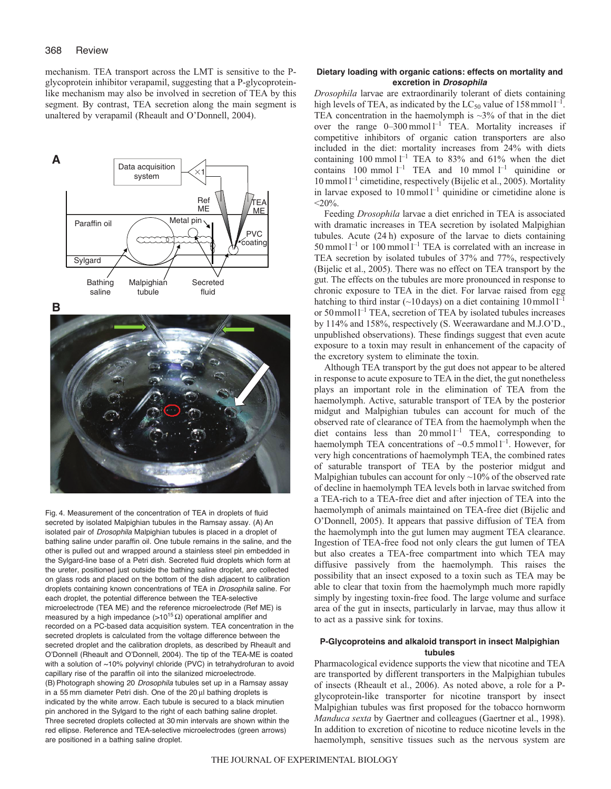mechanism. TEA transport across the LMT is sensitive to the Pglycoprotein inhibitor verapamil, suggesting that a P-glycoproteinlike mechanism may also be involved in secretion of TEA by this segment. By contrast, TEA secretion along the main segment is unaltered by verapamil (Rheault and O'Donnell, 2004).



Fig. 4. Measurement of the concentration of TEA in droplets of fluid secreted by isolated Malpighian tubules in the Ramsay assay. (A) An isolated pair of Drosophila Malpighian tubules is placed in a droplet of bathing saline under paraffin oil. One tubule remains in the saline, and the other is pulled out and wrapped around a stainless steel pin embedded in the Sylgard-line base of a Petri dish. Secreted fluid droplets which form at the ureter, positioned just outside the bathing saline droplet, are collected on glass rods and placed on the bottom of the dish adjacent to calibration droplets containing known concentrations of TEA in Drosophila saline. For each droplet, the potential difference between the TEA-selective microelectrode (TEA ME) and the reference microelectrode (Ref ME) is measured by a high impedance (>10<sup>15</sup> Ω) operational amplifier and recorded on a PC-based data acquisition system. TEA concentration in the secreted droplets is calculated from the voltage difference between the secreted droplet and the calibration droplets, as described by Rheault and O'Donnell (Rheault and O'Donnell, 2004). The tip of the TEA-ME is coated with a solution of ~10% polyvinyl chloride (PVC) in tetrahydrofuran to avoid capillary rise of the paraffin oil into the silanized microelectrode. (B) Photograph showing 20 Drosophila tubules set up in a Ramsay assay in a 55 mm diameter Petri dish. One of the 20 μl bathing droplets is indicated by the white arrow. Each tubule is secured to a black minutien pin anchored in the Sylgard to the right of each bathing saline droplet. Three secreted droplets collected at 30 min intervals are shown within the red ellipse. Reference and TEA-selective microelectrodes (green arrows) are positioned in a bathing saline droplet.

## **Dietary loading with organic cations: effects on mortality and excretion in** *Drosophila*

*Drosophila* larvae are extraordinarily tolerant of diets containing high levels of TEA, as indicated by the  $LC_{50}$  value of 158 mmoll<sup>-1</sup>. TEA concentration in the haemolymph is  $\sim$ 3% of that in the diet over the range  $0-300$  mmol  $l^{-1}$  TEA. Mortality increases if competitive inhibitors of organic cation transporters are also included in the diet: mortality increases from 24% with diets containing 100 mmol  $l^{-1}$  TEA to 83% and 61% when the diet contains  $100$  mmol  $l^{-1}$  TEA and  $10$  mmol  $l^{-1}$  quinidine or 10 mmol  $l^{-1}$  cimetidine, respectively (Bijelic et al., 2005). Mortality in larvae exposed to 10 mmol  $l^{-1}$  quinidine or cimetidine alone is  $<$ 20%.

Feeding *Drosophila* larvae a diet enriched in TEA is associated with dramatic increases in TEA secretion by isolated Malpighian tubules. Acute (24 h) exposure of the larvae to diets containing 50 mmol  $l^{-1}$  or 100 mmol  $l^{-1}$  TEA is correlated with an increase in TEA secretion by isolated tubules of 37% and 77%, respectively (Bijelic et al., 2005). There was no effect on TEA transport by the gut. The effects on the tubules are more pronounced in response to chronic exposure to TEA in the diet. For larvae raised from egg hatching to third instar (~10 days) on a diet containing  $10 \text{ mmol } l^{-1}$ or 50mmoll–1 TEA, secretion of TEA by isolated tubules increases by 114% and 158%, respectively (S. Weerawardane and M.J.O'D., unpublished observations). These findings suggest that even acute exposure to a toxin may result in enhancement of the capacity of the excretory system to eliminate the toxin.

Although TEA transport by the gut does not appear to be altered in response to acute exposure to TEA in the diet, the gut nonetheless plays an important role in the elimination of TEA from the haemolymph. Active, saturable transport of TEA by the posterior midgut and Malpighian tubules can account for much of the observed rate of clearance of TEA from the haemolymph when the diet contains less than  $20 \text{ mmol } l^{-1}$  TEA, corresponding to haemolymph TEA concentrations of  $\sim 0.5$  mmol  $l^{-1}$ . However, for very high concentrations of haemolymph TEA, the combined rates of saturable transport of TEA by the posterior midgut and Malpighian tubules can account for only ~10% of the observed rate of decline in haemolymph TEA levels both in larvae switched from a TEA-rich to a TEA-free diet and after injection of TEA into the haemolymph of animals maintained on TEA-free diet (Bijelic and O'Donnell, 2005). It appears that passive diffusion of TEA from the haemolymph into the gut lumen may augment TEA clearance. Ingestion of TEA-free food not only clears the gut lumen of TEA but also creates a TEA-free compartment into which TEA may diffusive passively from the haemolymph. This raises the possibility that an insect exposed to a toxin such as TEA may be able to clear that toxin from the haemolymph much more rapidly simply by ingesting toxin-free food. The large volume and surface area of the gut in insects, particularly in larvae, may thus allow it to act as a passive sink for toxins.

## **P-Glycoproteins and alkaloid transport in insect Malpighian tubules**

Pharmacological evidence supports the view that nicotine and TEA are transported by different transporters in the Malpighian tubules of insects (Rheault et al., 2006). As noted above, a role for a Pglycoprotein-like transporter for nicotine transport by insect Malpighian tubules was first proposed for the tobacco hornworm *Manduca sexta* by Gaertner and colleagues (Gaertner et al., 1998). In addition to excretion of nicotine to reduce nicotine levels in the haemolymph, sensitive tissues such as the nervous system are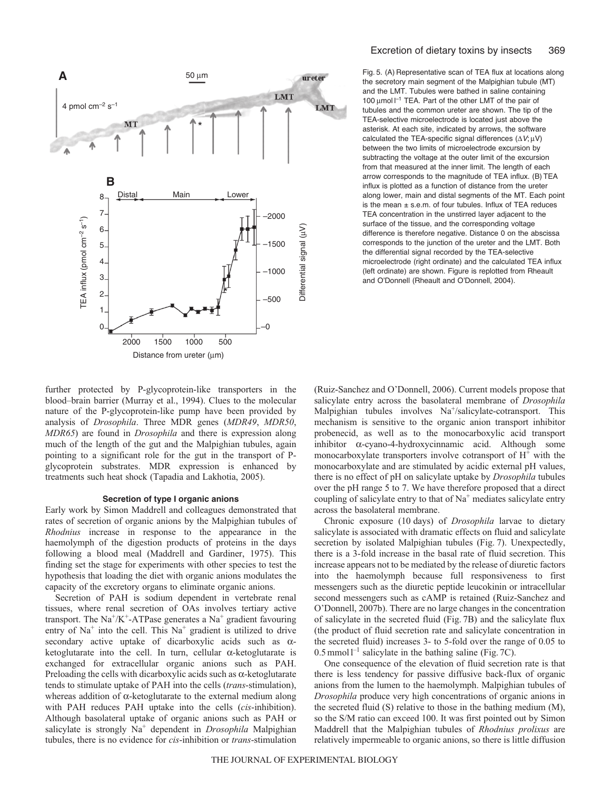

Fig. 5. (A) Representative scan of TEA flux at locations along the secretory main segment of the Malpighian tubule (MT) and the LMT. Tubules were bathed in saline containing 100 μmol  $I^{-1}$  TEA. Part of the other LMT of the pair of tubules and the common ureter are shown. The tip of the TEA-selective microelectrode is located just above the asterisk. At each site, indicated by arrows, the software calculated the TEA-specific signal differences  $(\Delta V; \mu V)$ between the two limits of microelectrode excursion by subtracting the voltage at the outer limit of the excursion from that measured at the inner limit. The length of each arrow corresponds to the magnitude of TEA influx. (B) TEA influx is plotted as a function of distance from the ureter along lower, main and distal segments of the MT. Each point is the mean  $\pm$  s.e.m. of four tubules. Influx of TEA reduces TEA concentration in the unstirred layer adjacent to the surface of the tissue, and the corresponding voltage difference is therefore negative. Distance 0 on the abscissa corresponds to the junction of the ureter and the LMT. Both the differential signal recorded by the TEA-selective microelectrode (right ordinate) and the calculated TEA influx (left ordinate) are shown. Figure is replotted from Rheault and O'Donnell (Rheault and O'Donnell, 2004).

further protected by P-glycoprotein-like transporters in the blood–brain barrier (Murray et al., 1994). Clues to the molecular nature of the P-glycoprotein-like pump have been provided by analysis of *Drosophila*. Three MDR genes (*MDR49*, *MDR50*, *MDR65*) are found in *Drosophila* and there is expression along much of the length of the gut and the Malpighian tubules, again pointing to a significant role for the gut in the transport of Pglycoprotein substrates. MDR expression is enhanced by treatments such heat shock (Tapadia and Lakhotia, 2005).

#### **Secretion of type I organic anions**

Early work by Simon Maddrell and colleagues demonstrated that rates of secretion of organic anions by the Malpighian tubules of *Rhodnius* increase in response to the appearance in the haemolymph of the digestion products of proteins in the days following a blood meal (Maddrell and Gardiner, 1975). This finding set the stage for experiments with other species to test the hypothesis that loading the diet with organic anions modulates the capacity of the excretory organs to eliminate organic anions.

Secretion of PAH is sodium dependent in vertebrate renal tissues, where renal secretion of OAs involves tertiary active transport. The Na<sup>+</sup>/K<sup>+</sup>-ATPase generates a Na<sup>+</sup> gradient favouring entry of  $Na<sup>+</sup>$  into the cell. This  $Na<sup>+</sup>$  gradient is utilized to drive secondary active uptake of dicarboxylic acids such as αketoglutarate into the cell. In turn, cellular  $\alpha$ -ketoglutarate is exchanged for extracellular organic anions such as PAH. Preloading the cells with dicarboxylic acids such as  $\alpha$ -ketoglutarate tends to stimulate uptake of PAH into the cells (*trans*-stimulation), whereas addition of  $\alpha$ -ketoglutarate to the external medium along with PAH reduces PAH uptake into the cells (*cis*-inhibition). Although basolateral uptake of organic anions such as PAH or salicylate is strongly Na<sup>+</sup> dependent in *Drosophila* Malpighian tubules, there is no evidence for *cis*-inhibition or *trans*-stimulation

(Ruiz-Sanchez and O'Donnell, 2006). Current models propose that salicylate entry across the basolateral membrane of *Drosophila* Malpighian tubules involves Na<sup>+</sup>/salicylate-cotransport. This mechanism is sensitive to the organic anion transport inhibitor probenecid, as well as to the monocarboxylic acid transport inhibitor α-cyano-4-hydroxycinnamic acid. Although some monocarboxylate transporters involve cotransport of  $H^+$  with the monocarboxylate and are stimulated by acidic external pH values, there is no effect of pH on salicylate uptake by *Drosophila* tubules over the pH range 5 to 7. We have therefore proposed that a direct coupling of salicylate entry to that of  $Na<sup>+</sup>$  mediates salicylate entry across the basolateral membrane.

Chronic exposure (10 days) of *Drosophila* larvae to dietary salicylate is associated with dramatic effects on fluid and salicylate secretion by isolated Malpighian tubules (Fig. 7). Unexpectedly, there is a 3-fold increase in the basal rate of fluid secretion. This increase appears not to be mediated by the release of diuretic factors into the haemolymph because full responsiveness to first messengers such as the diuretic peptide leucokinin or intracellular second messengers such as cAMP is retained (Ruiz-Sanchez and O'Donnell, 2007b). There are no large changes in the concentration of salicylate in the secreted fluid (Fig. 7B) and the salicylate flux (the product of fluid secretion rate and salicylate concentration in the secreted fluid) increases 3- to 5-fold over the range of 0.05 to  $0.5$  mmol  $l^{-1}$  salicylate in the bathing saline (Fig. 7C).

One consequence of the elevation of fluid secretion rate is that there is less tendency for passive diffusive back-flux of organic anions from the lumen to the haemolymph. Malpighian tubules of *Drosophila* produce very high concentrations of organic anions in the secreted fluid (S) relative to those in the bathing medium (M), so the S/M ratio can exceed 100. It was first pointed out by Simon Maddrell that the Malpighian tubules of *Rhodnius prolixus* are relatively impermeable to organic anions, so there is little diffusion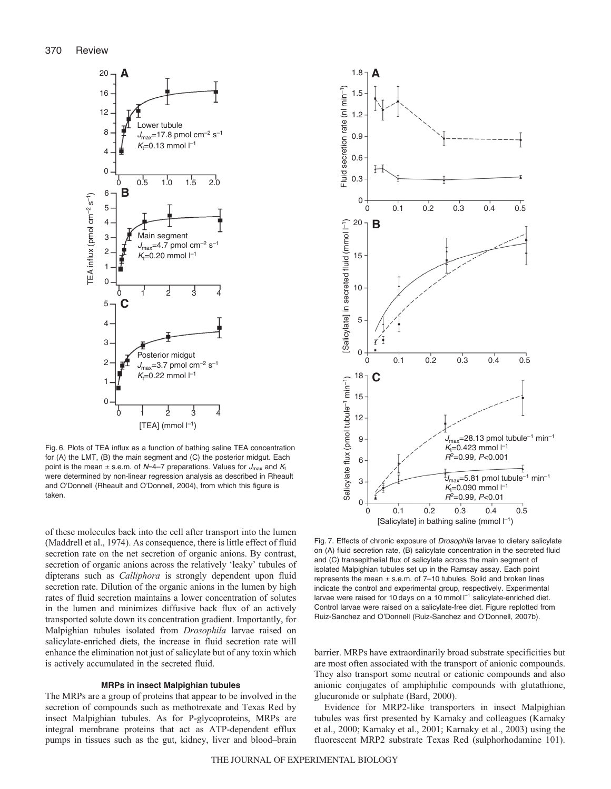

Fig. 6. Plots of TEA influx as a function of bathing saline TEA concentration for (A) the LMT, (B) the main segment and (C) the posterior midgut. Each point is the mean  $\pm$  s.e.m. of N=4–7 preparations. Values for  $J_{\text{max}}$  and  $K_t$ were determined by non-linear regression analysis as described in Rheault and O'Donnell (Rheault and O'Donnell, 2004), from which this figure is taken.

of these molecules back into the cell after transport into the lumen (Maddrell et al., 1974). As consequence, there is little effect of fluid secretion rate on the net secretion of organic anions. By contrast, secretion of organic anions across the relatively 'leaky' tubules of dipterans such as *Calliphora* is strongly dependent upon fluid secretion rate. Dilution of the organic anions in the lumen by high rates of fluid secretion maintains a lower concentration of solutes in the lumen and minimizes diffusive back flux of an actively transported solute down its concentration gradient. Importantly, for Malpighian tubules isolated from *Drosophila* larvae raised on salicylate-enriched diets, the increase in fluid secretion rate will enhance the elimination not just of salicylate but of any toxin which is actively accumulated in the secreted fluid.

#### **MRPs in insect Malpighian tubules**

The MRPs are a group of proteins that appear to be involved in the secretion of compounds such as methotrexate and Texas Red by insect Malpighian tubules. As for P-glycoproteins, MRPs are integral membrane proteins that act as ATP-dependent efflux pumps in tissues such as the gut, kidney, liver and blood–brain



Fig. 7. Effects of chronic exposure of Drosophila larvae to dietary salicylate on (A) fluid secretion rate, (B) salicylate concentration in the secreted fluid and (C) transepithelial flux of salicylate across the main segment of isolated Malpighian tubules set up in the Ramsay assay. Each point represents the mean  $\pm$  s.e.m. of 7-10 tubules. Solid and broken lines indicate the control and experimental group, respectively. Experimental larvae were raised for 10 days on a 10 mmol  $I^{-1}$  salicylate-enriched diet. Control larvae were raised on a salicylate-free diet. Figure replotted from Ruiz-Sanchez and O'Donnell (Ruiz-Sanchez and O'Donnell, 2007b).

barrier. MRPs have extraordinarily broad substrate specificities but are most often associated with the transport of anionic compounds. They also transport some neutral or cationic compounds and also anionic conjugates of amphiphilic compounds with glutathione, glucuronide or sulphate (Bard, 2000).

Evidence for MRP2-like transporters in insect Malpighian tubules was first presented by Karnaky and colleagues (Karnaky et al., 2000; Karnaky et al., 2001; Karnaky et al., 2003) using the fluorescent MRP2 substrate Texas Red (sulphorhodamine 101).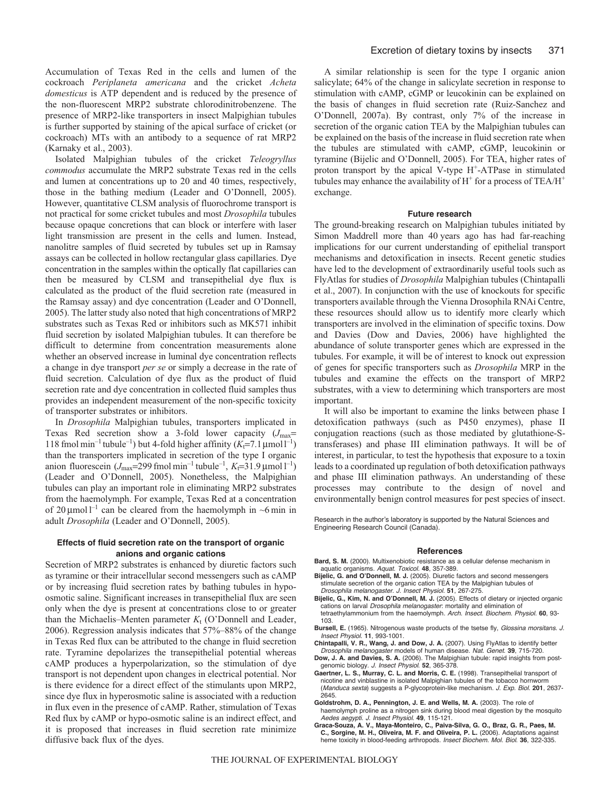Accumulation of Texas Red in the cells and lumen of the cockroach *Periplaneta americana* and the cricket *Acheta domesticus* is ATP dependent and is reduced by the presence of the non-fluorescent MRP2 substrate chlorodinitrobenzene. The presence of MRP2-like transporters in insect Malpighian tubules is further supported by staining of the apical surface of cricket (or cockroach) MTs with an antibody to a sequence of rat MRP2 (Karnaky et al., 2003).

Isolated Malpighian tubules of the cricket *Teleogryllus commodus* accumulate the MRP2 substrate Texas red in the cells and lumen at concentrations up to 20 and 40 times, respectively, those in the bathing medium (Leader and O'Donnell, 2005). However, quantitative CLSM analysis of fluorochrome transport is not practical for some cricket tubules and most *Drosophila* tubules because opaque concretions that can block or interfere with laser light transmission are present in the cells and lumen. Instead, nanolitre samples of fluid secreted by tubules set up in Ramsay assays can be collected in hollow rectangular glass capillaries. Dye concentration in the samples within the optically flat capillaries can then be measured by CLSM and transepithelial dye flux is calculated as the product of the fluid secretion rate (measured in the Ramsay assay) and dye concentration (Leader and O'Donnell, 2005). The latter study also noted that high concentrations of MRP2 substrates such as Texas Red or inhibitors such as MK571 inhibit fluid secretion by isolated Malpighian tubules. It can therefore be difficult to determine from concentration measurements alone whether an observed increase in luminal dye concentration reflects a change in dye transport *per se* or simply a decrease in the rate of fluid secretion. Calculation of dye flux as the product of fluid secretion rate and dye concentration in collected fluid samples thus provides an independent measurement of the non-specific toxicity of transporter substrates or inhibitors.

In *Drosophila* Malpighian tubules, transporters implicated in Texas Red secretion show a 3-fold lower capacity  $(J_{\text{max}}=$  $118$  fmol min<sup>-1</sup> tubule<sup>-1</sup>) but 4-fold higher affinity (*K*<sub>t</sub>=7.1 μmol<sup>1-1</sup>) than the transporters implicated in secretion of the type I organic anion fluorescein  $(J_{\text{max}}=299 \text{ fmol min}^{-1} \text{ tubule}^{-1}, K_{\text{F}}=31.9 \text{µmol}^{-1})$ (Leader and O'Donnell, 2005). Nonetheless, the Malpighian tubules can play an important role in eliminating MRP2 substrates from the haemolymph. For example, Texas Red at a concentration of 20  $\mu$ mol l<sup>-1</sup> can be cleared from the haemolymph in ~6 min in adult *Drosophila* (Leader and O'Donnell, 2005).

#### **Effects of fluid secretion rate on the transport of organic anions and organic cations**

Secretion of MRP2 substrates is enhanced by diuretic factors such as tyramine or their intracellular second messengers such as cAMP or by increasing fluid secretion rates by bathing tubules in hypoosmotic saline. Significant increases in transepithelial flux are seen only when the dye is present at concentrations close to or greater than the Michaelis–Menten parameter  $K_t$  (O'Donnell and Leader, 2006). Regression analysis indicates that 57%–88% of the change in Texas Red flux can be attributed to the change in fluid secretion rate. Tyramine depolarizes the transepithelial potential whereas cAMP produces a hyperpolarization, so the stimulation of dye transport is not dependent upon changes in electrical potential. Nor is there evidence for a direct effect of the stimulants upon MRP2, since dye flux in hyperosmotic saline is associated with a reduction in flux even in the presence of cAMP. Rather, stimulation of Texas Red flux by cAMP or hypo-osmotic saline is an indirect effect, and it is proposed that increases in fluid secretion rate minimize diffusive back flux of the dyes.

A similar relationship is seen for the type I organic anion salicylate; 64% of the change in salicylate secretion in response to stimulation with cAMP, cGMP or leucokinin can be explained on the basis of changes in fluid secretion rate (Ruiz-Sanchez and O'Donnell, 2007a). By contrast, only 7% of the increase in secretion of the organic cation TEA by the Malpighian tubules can be explained on the basis of the increase in fluid secretion rate when the tubules are stimulated with cAMP, cGMP, leucokinin or tyramine (Bijelic and O'Donnell, 2005). For TEA, higher rates of proton transport by the apical V-type H<sup>+</sup>-ATPase in stimulated tubules may enhance the availability of  $H^+$  for a process of TEA/ $H^+$ exchange.

#### **Future research**

The ground-breaking research on Malpighian tubules initiated by Simon Maddrell more than 40 years ago has had far-reaching implications for our current understanding of epithelial transport mechanisms and detoxification in insects. Recent genetic studies have led to the development of extraordinarily useful tools such as FlyAtlas for studies of *Drosophila* Malpighian tubules (Chintapalli et al., 2007). In conjunction with the use of knockouts for specific transporters available through the Vienna Drosophila RNAi Centre, these resources should allow us to identify more clearly which transporters are involved in the elimination of specific toxins. Dow and Davies (Dow and Davies, 2006) have highlighted the abundance of solute transporter genes which are expressed in the tubules. For example, it will be of interest to knock out expression of genes for specific transporters such as *Drosophila* MRP in the tubules and examine the effects on the transport of MRP2 substrates, with a view to determining which transporters are most important.

It will also be important to examine the links between phase I detoxification pathways (such as P450 enzymes), phase II conjugation reactions (such as those mediated by glutathione-Stransferases) and phase III elimination pathways. It will be of interest, in particular, to test the hypothesis that exposure to a toxin leads to a coordinated up regulation of both detoxification pathways and phase III elimination pathways. An understanding of these processes may contribute to the design of novel and environmentally benign control measures for pest species of insect.

Research in the author's laboratory is supported by the Natural Sciences and Engineering Research Council (Canada).

#### **References**

- **Bard, S. M.** (2000). Multixenobiotic resistance as a cellular defense mechanism in aquatic organisms. Aquat. Toxicol. **48**, 357-389.
- **Bijelic, G. and O'Donnell, M. J.** (2005). Diuretic factors and second messengers stimulate secretion of the organic cation TEA by the Malpighian tubules of Drosophila melanogaster. J. Insect Physiol. **51**, 267-275.
- **Bijelic, G., Kim, N. and O'Donnell, M. J.** (2005). Effects of dietary or injected organic cations on larval Drosophila melanogaster: mortality and elimination of tetraethylammonium from the haemolymph. Arch. Insect. Biochem. Physiol. **60**, 93- 103.
- Bursell, E. (1965). Nitrogenous waste products of the tsetse fly, Glossina morsitans. J. Insect Physiol. **11**, 993-1001.
- **Chintapalli, V. R., Wang, J. and Dow, J. A.** (2007). Using FlyAtlas to identify better Drosophila melanogaster models of human disease. Nat. Genet. **39**, 715-720.
- **Dow, J. A. and Davies, S. A.** (2006). The Malpighian tubule: rapid insights from postgenomic biology. J. Insect Physiol. **52**, 365-378.
- **Gaertner, L. S., Murray, C. L. and Morris, C. E.** (1998). Transepithelial transport of nicotine and vinblastine in isolated Malpighian tubules of the tobacco hornworm (Manduca sexta) suggests a P-glycoprotein-like mechanism. J. Exp. Biol. **201**, 2637- 2645.
- **Goldstrohm, D. A., Pennington, J. E. and Wells, M. A.** (2003). The role of
- haemolymph proline as a nitrogen sink during blood meal digestion by the mosquito Aedes aegypti. J. Insect Physiol. **49**, 115-121.
- **Graca-Souza, A. V., Maya-Monteiro, C., Paiva-Silva, G. O., Braz, G. R., Paes, M. C., Sorgine, M. H., Oliveira, M. F. and Oliveira, P. L.** (2006). Adaptations against heme toxicity in blood-feeding arthropods. Insect Biochem. Mol. Biol. **36**, 322-335.